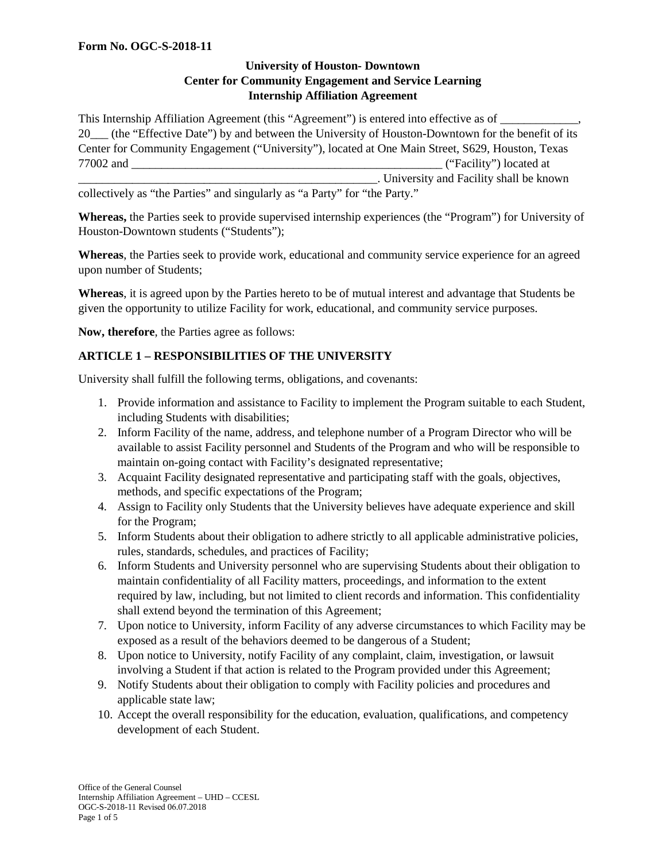### **University of Houston- Downtown Center for Community Engagement and Service Learning Internship Affiliation Agreement**

This Internship Affiliation Agreement (this "Agreement") is entered into effective as of 20\_\_\_ (the "Effective Date") by and between the University of Houston-Downtown for the benefit of its Center for Community Engagement ("University"), located at One Main Street, S629, Houston, Texas 77002 and \_\_\_\_\_\_\_\_\_\_\_\_\_\_\_\_\_\_\_\_\_\_\_\_\_\_\_\_\_\_\_\_\_\_\_\_\_\_\_\_\_\_\_\_\_\_\_\_\_\_\_\_ ("Facility") located at \_\_\_\_\_\_\_\_\_\_\_\_\_\_\_\_\_\_\_\_\_\_\_\_\_\_\_\_\_\_\_\_\_\_\_\_\_\_\_\_\_\_\_\_\_\_\_\_\_\_. University and Facility shall be known

collectively as "the Parties" and singularly as "a Party" for "the Party."

**Whereas,** the Parties seek to provide supervised internship experiences (the "Program") for University of Houston-Downtown students ("Students");

**Whereas**, the Parties seek to provide work, educational and community service experience for an agreed upon number of Students;

**Whereas**, it is agreed upon by the Parties hereto to be of mutual interest and advantage that Students be given the opportunity to utilize Facility for work, educational, and community service purposes.

**Now, therefore**, the Parties agree as follows:

### **ARTICLE 1 – RESPONSIBILITIES OF THE UNIVERSITY**

University shall fulfill the following terms, obligations, and covenants:

- 1. Provide information and assistance to Facility to implement the Program suitable to each Student, including Students with disabilities;
- 2. Inform Facility of the name, address, and telephone number of a Program Director who will be available to assist Facility personnel and Students of the Program and who will be responsible to maintain on-going contact with Facility's designated representative;
- 3. Acquaint Facility designated representative and participating staff with the goals, objectives, methods, and specific expectations of the Program;
- 4. Assign to Facility only Students that the University believes have adequate experience and skill for the Program;
- 5. Inform Students about their obligation to adhere strictly to all applicable administrative policies, rules, standards, schedules, and practices of Facility;
- 6. Inform Students and University personnel who are supervising Students about their obligation to maintain confidentiality of all Facility matters, proceedings, and information to the extent required by law, including, but not limited to client records and information. This confidentiality shall extend beyond the termination of this Agreement;
- 7. Upon notice to University, inform Facility of any adverse circumstances to which Facility may be exposed as a result of the behaviors deemed to be dangerous of a Student;
- 8. Upon notice to University, notify Facility of any complaint, claim, investigation, or lawsuit involving a Student if that action is related to the Program provided under this Agreement;
- 9. Notify Students about their obligation to comply with Facility policies and procedures and applicable state law;
- 10. Accept the overall responsibility for the education, evaluation, qualifications, and competency development of each Student.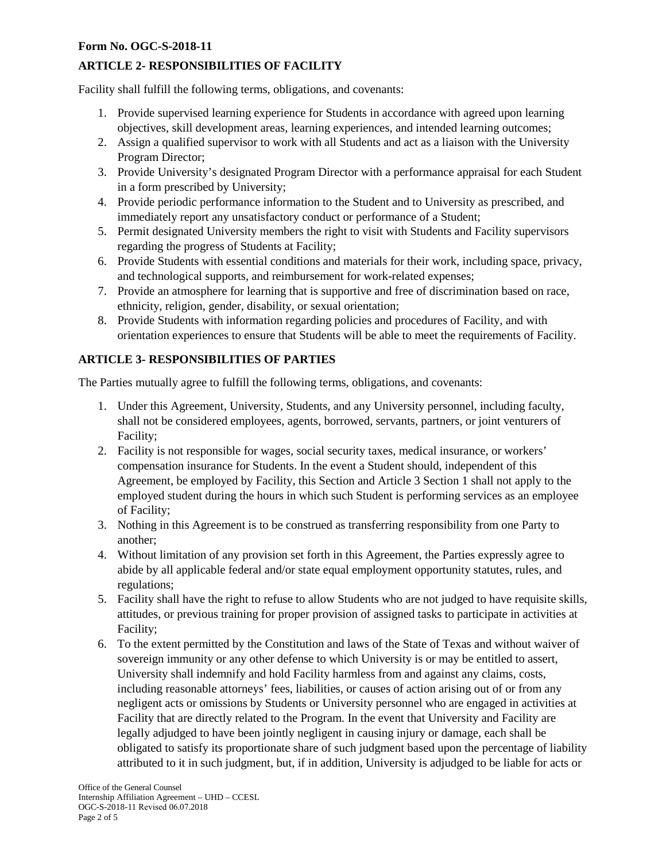### **Form No. OGC-S-2018-11**

# **ARTICLE 2- RESPONSIBILITIES OF FACILITY**

Facility shall fulfill the following terms, obligations, and covenants:

- 1. Provide supervised learning experience for Students in accordance with agreed upon learning objectives, skill development areas, learning experiences, and intended learning outcomes;
- 2. Assign a qualified supervisor to work with all Students and act as a liaison with the University Program Director;
- 3. Provide University's designated Program Director with a performance appraisal for each Student in a form prescribed by University;
- 4. Provide periodic performance information to the Student and to University as prescribed, and immediately report any unsatisfactory conduct or performance of a Student;
- 5. Permit designated University members the right to visit with Students and Facility supervisors regarding the progress of Students at Facility;
- 6. Provide Students with essential conditions and materials for their work, including space, privacy, and technological supports, and reimbursement for work-related expenses;
- 7. Provide an atmosphere for learning that is supportive and free of discrimination based on race, ethnicity, religion, gender, disability, or sexual orientation;
- 8. Provide Students with information regarding policies and procedures of Facility, and with orientation experiences to ensure that Students will be able to meet the requirements of Facility.

# **ARTICLE 3- RESPONSIBILITIES OF PARTIES**

The Parties mutually agree to fulfill the following terms, obligations, and covenants:

- 1. Under this Agreement, University, Students, and any University personnel, including faculty, shall not be considered employees, agents, borrowed, servants, partners, or joint venturers of Facility;
- 2. Facility is not responsible for wages, social security taxes, medical insurance, or workers' compensation insurance for Students. In the event a Student should, independent of this Agreement, be employed by Facility, this Section and Article 3 Section 1 shall not apply to the employed student during the hours in which such Student is performing services as an employee of Facility;
- 3. Nothing in this Agreement is to be construed as transferring responsibility from one Party to another;
- 4. Without limitation of any provision set forth in this Agreement, the Parties expressly agree to abide by all applicable federal and/or state equal employment opportunity statutes, rules, and regulations;
- 5. Facility shall have the right to refuse to allow Students who are not judged to have requisite skills, attitudes, or previous training for proper provision of assigned tasks to participate in activities at Facility;
- 6. To the extent permitted by the Constitution and laws of the State of Texas and without waiver of sovereign immunity or any other defense to which University is or may be entitled to assert, University shall indemnify and hold Facility harmless from and against any claims, costs, including reasonable attorneys' fees, liabilities, or causes of action arising out of or from any negligent acts or omissions by Students or University personnel who are engaged in activities at Facility that are directly related to the Program. In the event that University and Facility are legally adjudged to have been jointly negligent in causing injury or damage, each shall be obligated to satisfy its proportionate share of such judgment based upon the percentage of liability attributed to it in such judgment, but, if in addition, University is adjudged to be liable for acts or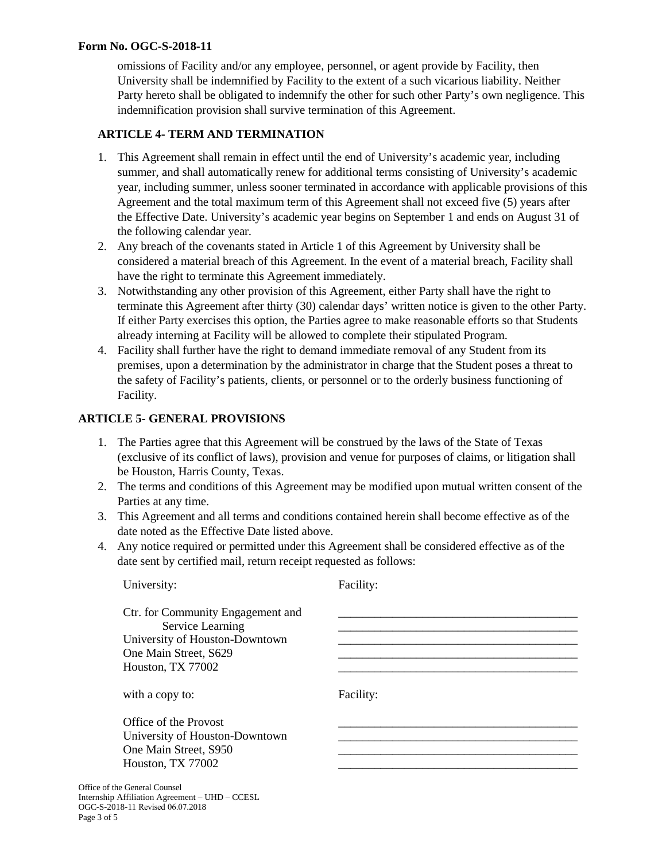#### **Form No. OGC-S-2018-11**

omissions of Facility and/or any employee, personnel, or agent provide by Facility, then University shall be indemnified by Facility to the extent of a such vicarious liability. Neither Party hereto shall be obligated to indemnify the other for such other Party's own negligence. This indemnification provision shall survive termination of this Agreement.

# **ARTICLE 4- TERM AND TERMINATION**

- 1. This Agreement shall remain in effect until the end of University's academic year, including summer, and shall automatically renew for additional terms consisting of University's academic year, including summer, unless sooner terminated in accordance with applicable provisions of this Agreement and the total maximum term of this Agreement shall not exceed five (5) years after the Effective Date. University's academic year begins on September 1 and ends on August 31 of the following calendar year.
- 2. Any breach of the covenants stated in Article 1 of this Agreement by University shall be considered a material breach of this Agreement. In the event of a material breach, Facility shall have the right to terminate this Agreement immediately.
- 3. Notwithstanding any other provision of this Agreement, either Party shall have the right to terminate this Agreement after thirty (30) calendar days' written notice is given to the other Party. If either Party exercises this option, the Parties agree to make reasonable efforts so that Students already interning at Facility will be allowed to complete their stipulated Program.
- 4. Facility shall further have the right to demand immediate removal of any Student from its premises, upon a determination by the administrator in charge that the Student poses a threat to the safety of Facility's patients, clients, or personnel or to the orderly business functioning of Facility.

### **ARTICLE 5- GENERAL PROVISIONS**

- 1. The Parties agree that this Agreement will be construed by the laws of the State of Texas (exclusive of its conflict of laws), provision and venue for purposes of claims, or litigation shall be Houston, Harris County, Texas.
- 2. The terms and conditions of this Agreement may be modified upon mutual written consent of the Parties at any time.
- 3. This Agreement and all terms and conditions contained herein shall become effective as of the date noted as the Effective Date listed above.
- 4. Any notice required or permitted under this Agreement shall be considered effective as of the date sent by certified mail, return receipt requested as follows:

| University:                                                                                                                           | Facility: |
|---------------------------------------------------------------------------------------------------------------------------------------|-----------|
| Ctr. for Community Engagement and<br>Service Learning<br>University of Houston-Downtown<br>One Main Street, S629<br>Houston, TX 77002 |           |
| with a copy to:                                                                                                                       | Facility: |
| Office of the Provost<br>University of Houston-Downtown<br>One Main Street, S950<br>Houston, TX 77002                                 |           |
| the General Counsel<br>p Affiliation Agreement – UHD – CCESL                                                                          |           |

Office of **Internship** OGC-S-2018-11 Revised 06.07.2018 Page 3 of 5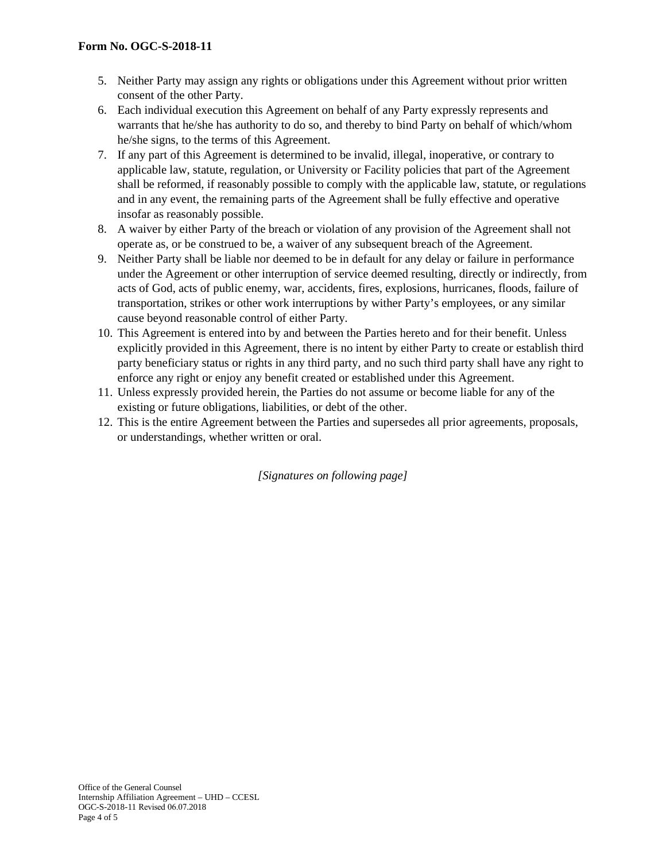- 5. Neither Party may assign any rights or obligations under this Agreement without prior written consent of the other Party.
- 6. Each individual execution this Agreement on behalf of any Party expressly represents and warrants that he/she has authority to do so, and thereby to bind Party on behalf of which/whom he/she signs, to the terms of this Agreement.
- 7. If any part of this Agreement is determined to be invalid, illegal, inoperative, or contrary to applicable law, statute, regulation, or University or Facility policies that part of the Agreement shall be reformed, if reasonably possible to comply with the applicable law, statute, or regulations and in any event, the remaining parts of the Agreement shall be fully effective and operative insofar as reasonably possible.
- 8. A waiver by either Party of the breach or violation of any provision of the Agreement shall not operate as, or be construed to be, a waiver of any subsequent breach of the Agreement.
- 9. Neither Party shall be liable nor deemed to be in default for any delay or failure in performance under the Agreement or other interruption of service deemed resulting, directly or indirectly, from acts of God, acts of public enemy, war, accidents, fires, explosions, hurricanes, floods, failure of transportation, strikes or other work interruptions by wither Party's employees, or any similar cause beyond reasonable control of either Party.
- 10. This Agreement is entered into by and between the Parties hereto and for their benefit. Unless explicitly provided in this Agreement, there is no intent by either Party to create or establish third party beneficiary status or rights in any third party, and no such third party shall have any right to enforce any right or enjoy any benefit created or established under this Agreement.
- 11. Unless expressly provided herein, the Parties do not assume or become liable for any of the existing or future obligations, liabilities, or debt of the other.
- 12. This is the entire Agreement between the Parties and supersedes all prior agreements, proposals, or understandings, whether written or oral.

*[Signatures on following page]*